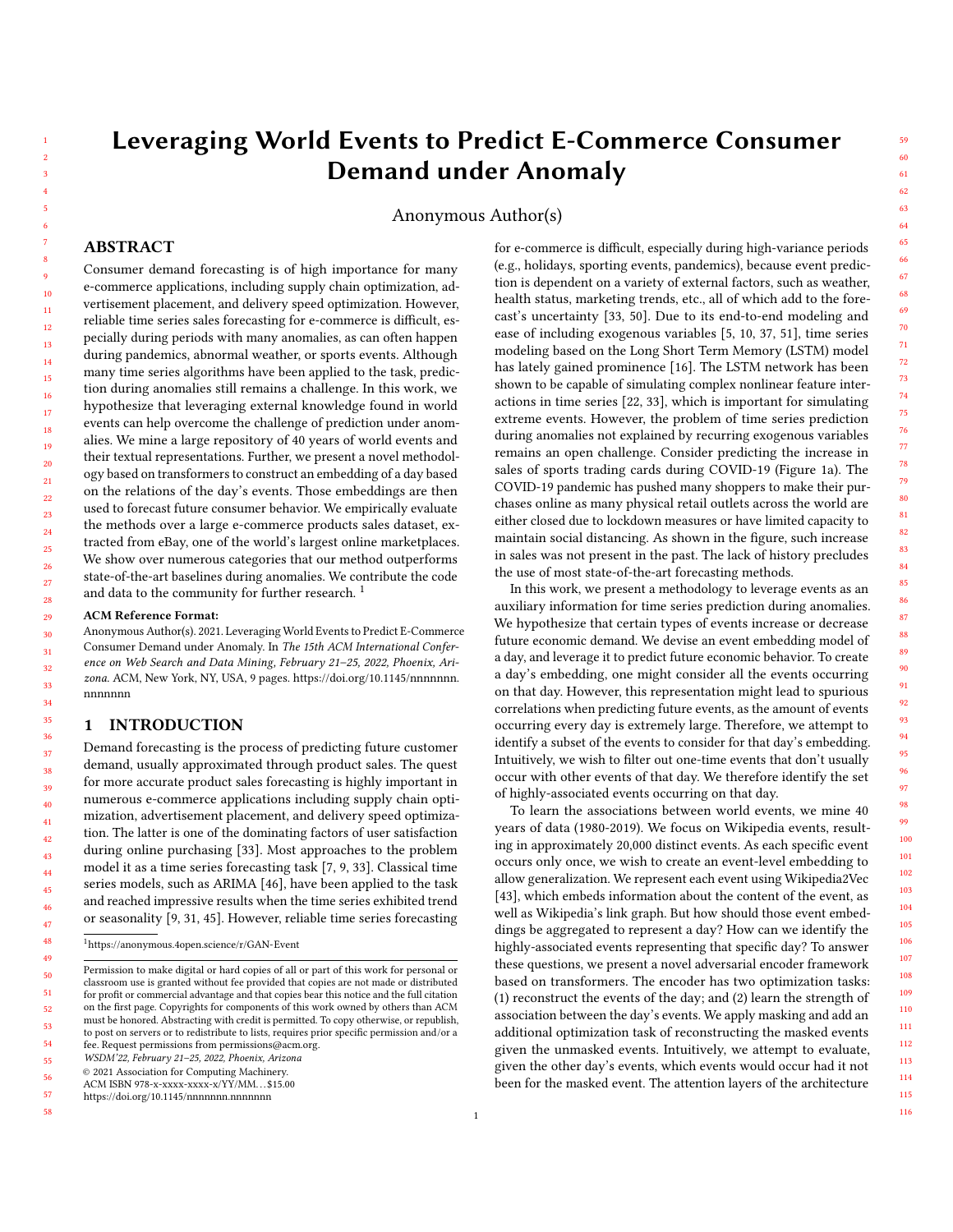# Leveraging World Events to Predict E-Commerce Consumer Demand under Anomaly

Anonymous Author(s)

## ABSTRACT

Consumer demand forecasting is of high importance for many e-commerce applications, including supply chain optimization, advertisement placement, and delivery speed optimization. However, reliable time series sales forecasting for e-commerce is difficult, especially during periods with many anomalies, as can often happen during pandemics, abnormal weather, or sports events. Although many time series algorithms have been applied to the task, prediction during anomalies still remains a challenge. In this work, we hypothesize that leveraging external knowledge found in world events can help overcome the challenge of prediction under anomalies. We mine a large repository of 40 years of world events and their textual representations. Further, we present a novel methodology based on transformers to construct an embedding of a day based on the relations of the day's events. Those embeddings are then used to forecast future consumer behavior. We empirically evaluate the methods over a large e-commerce products sales dataset, extracted from eBay, one of the world's largest online marketplaces. We show over numerous categories that our method outperforms state-of-the-art baselines during anomalies. We contribute the code and data to the community for further research.<sup>[1](#page-0-0)</sup>

#### ACM Reference Format:

Anonymous Author(s). 2021. Leveraging World Events to Predict E-Commerce Consumer Demand under Anomaly. In The 15th ACM International Conference on Web Search and Data Mining, February 21–25, 2022, Phoenix, Arizona. ACM, New York, NY, USA, [9](#page-8-0) pages. [https://doi.org/10.1145/nnnnnnn.](https://doi.org/10.1145/nnnnnnn.nnnnnnn) [nnnnnnn](https://doi.org/10.1145/nnnnnnn.nnnnnnn)

#### 1 INTRODUCTION

Demand forecasting is the process of predicting future customer demand, usually approximated through product sales. The quest for more accurate product sales forecasting is highly important in numerous e-commerce applications including supply chain optimization, advertisement placement, and delivery speed optimization. The latter is one of the dominating factors of user satisfaction during online purchasing [\[33\]](#page-8-1). Most approaches to the problem model it as a time series forecasting task [\[7,](#page-8-2) [9,](#page-8-3) [33\]](#page-8-1). Classical time series models, such as ARIMA [\[46\]](#page-8-4), have been applied to the task and reached impressive results when the time series exhibited trend or seasonality [\[9,](#page-8-3) [31,](#page-8-5) [45\]](#page-8-6). However, reliable time series forecasting

55 WSDM'22, February 21–25, 2022, Phoenix, Arizona

© 2021 Association for Computing Machinery.

57 <https://doi.org/10.1145/nnnnnnn.nnnnnnn>

58

for e-commerce is difficult, especially during high-variance periods (e.g., holidays, sporting events, pandemics), because event prediction is dependent on a variety of external factors, such as weather, health status, marketing trends, etc., all of which add to the forecast's uncertainty [\[33,](#page-8-1) [50\]](#page-8-7). Due to its end-to-end modeling and ease of including exogenous variables [\[5,](#page-8-8) [10,](#page-8-9) [37,](#page-8-10) [51\]](#page-8-11), time series modeling based on the Long Short Term Memory (LSTM) model has lately gained prominence [\[16\]](#page-8-12). The LSTM network has been shown to be capable of simulating complex nonlinear feature interactions in time series [\[22,](#page-8-13) [33\]](#page-8-1), which is important for simulating extreme events. However, the problem of time series prediction during anomalies not explained by recurring exogenous variables remains an open challenge. Consider predicting the increase in sales of sports trading cards during COVID-19 (Figure [1a\)](#page-1-0). The COVID-19 pandemic has pushed many shoppers to make their purchases online as many physical retail outlets across the world are either closed due to lockdown measures or have limited capacity to maintain social distancing. As shown in the figure, such increase in sales was not present in the past. The lack of history precludes the use of most state-of-the-art forecasting methods.

In this work, we present a methodology to leverage events as an auxiliary information for time series prediction during anomalies. We hypothesize that certain types of events increase or decrease future economic demand. We devise an event embedding model of a day, and leverage it to predict future economic behavior. To create a day's embedding, one might consider all the events occurring on that day. However, this representation might lead to spurious correlations when predicting future events, as the amount of events occurring every day is extremely large. Therefore, we attempt to identify a subset of the events to consider for that day's embedding. Intuitively, we wish to filter out one-time events that don't usually occur with other events of that day. We therefore identify the set of highly-associated events occurring on that day.

To learn the associations between world events, we mine 40 years of data (1980-2019). We focus on Wikipedia events, resulting in approximately 20,000 distinct events. As each specific event occurs only once, we wish to create an event-level embedding to allow generalization. We represent each event using Wikipedia2Vec [\[43\]](#page-8-14), which embeds information about the content of the event, as well as Wikipedia's link graph. But how should those event embeddings be aggregated to represent a day? How can we identify the highly-associated events representing that specific day? To answer these questions, we present a novel adversarial encoder framework based on transformers. The encoder has two optimization tasks: (1) reconstruct the events of the day; and (2) learn the strength of association between the day's events. We apply masking and add an additional optimization task of reconstructing the masked events given the unmasked events. Intuitively, we attempt to evaluate, given the other day's events, which events would occur had it not been for the masked event. The attention layers of the architecture

115 116

<span id="page-0-0"></span><sup>1</sup><https://anonymous.4open.science/r/GAN-Event>

Permission to make digital or hard copies of all or part of this work for personal or classroom use is granted without fee provided that copies are not made or distributed for profit or commercial advantage and that copies bear this notice and the full citation on the first page. Copyrights for components of this work owned by others than ACM must be honored. Abstracting with credit is permitted. To copy otherwise, or republish, to post on servers or to redistribute to lists, requires prior specific permission and/or a fee. Request permissions from permissions@acm.org.

<sup>56</sup> ACM ISBN 978-x-xxxx-xxxx-x/YY/MM. . . \$15.00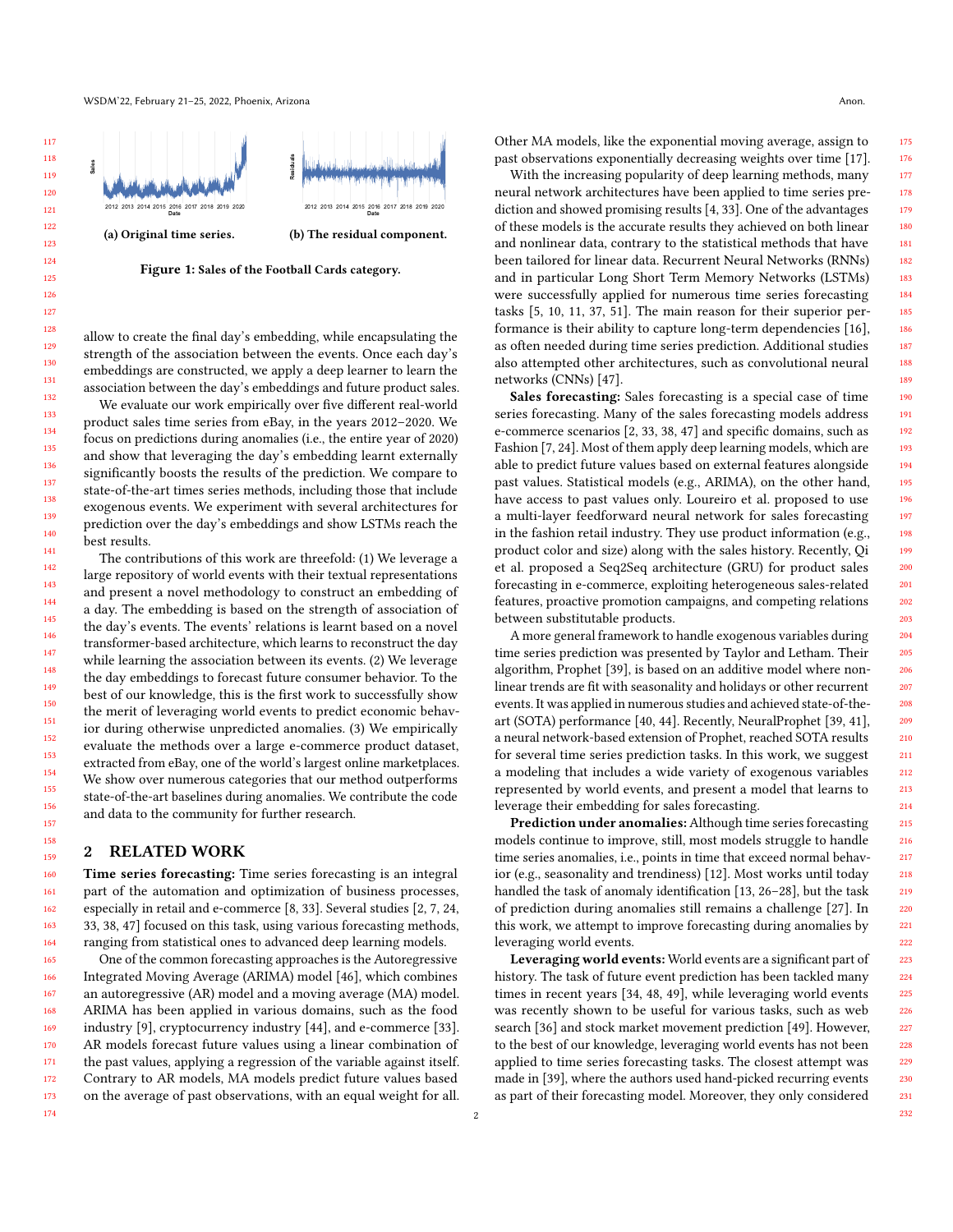WSDM'22, February 21-25, 2022, Phoenix, Arizona Anon. Anon. Anon. Anon. Anon. Anon. Anon. Anon. Anon. Anon. Anon. Anon. Anon. Anon. Anon. Anon. Anon. Anon. Anon. Anon. Anon. Anon. Anon. Anon. Anon. Anon. Anon. Anon. Anon.

<span id="page-1-0"></span>

Figure 1: Sales of the Football Cards category.

allow to create the final day's embedding, while encapsulating the strength of the association between the events. Once each day's embeddings are constructed, we apply a deep learner to learn the association between the day's embeddings and future product sales.

We evaluate our work empirically over five different real-world product sales time series from eBay, in the years 2012–2020. We focus on predictions during anomalies (i.e., the entire year of 2020) and show that leveraging the day's embedding learnt externally significantly boosts the results of the prediction. We compare to state-of-the-art times series methods, including those that include exogenous events. We experiment with several architectures for prediction over the day's embeddings and show LSTMs reach the best results.

The contributions of this work are threefold: (1) We leverage a large repository of world events with their textual representations and present a novel methodology to construct an embedding of a day. The embedding is based on the strength of association of the day's events. The events' relations is learnt based on a novel transformer-based architecture, which learns to reconstruct the day while learning the association between its events. (2) We leverage the day embeddings to forecast future consumer behavior. To the best of our knowledge, this is the first work to successfully show the merit of leveraging world events to predict economic behavior during otherwise unpredicted anomalies. (3) We empirically evaluate the methods over a large e-commerce product dataset, extracted from eBay, one of the world's largest online marketplaces. We show over numerous categories that our method outperforms state-of-the-art baselines during anomalies. We contribute the code and data to the community for further research.

## 2 RELATED WORK

Time series forecasting: Time series forecasting is an integral part of the automation and optimization of business processes, especially in retail and e-commerce [\[8,](#page-8-15) [33\]](#page-8-1). Several studies [\[2,](#page-8-16) [7,](#page-8-2) [24,](#page-8-17) [33,](#page-8-1) [38,](#page-8-18) [47\]](#page-8-19) focused on this task, using various forecasting methods, ranging from statistical ones to advanced deep learning models.

165 166 167 168 169 170 171 172 173 One of the common forecasting approaches is the Autoregressive Integrated Moving Average (ARIMA) model [\[46\]](#page-8-4), which combines an autoregressive (AR) model and a moving average (MA) model. ARIMA has been applied in various domains, such as the food industry [\[9\]](#page-8-3), cryptocurrency industry [\[44\]](#page-8-20), and e-commerce [\[33\]](#page-8-1). AR models forecast future values using a linear combination of the past values, applying a regression of the variable against itself. Contrary to AR models, MA models predict future values based on the average of past observations, with an equal weight for all.

Other MA models, like the exponential moving average, assign to past observations exponentially decreasing weights over time [\[17\]](#page-8-21).

With the increasing popularity of deep learning methods, many neural network architectures have been applied to time series prediction and showed promising results [\[4,](#page-8-22) [33\]](#page-8-1). One of the advantages of these models is the accurate results they achieved on both linear and nonlinear data, contrary to the statistical methods that have been tailored for linear data. Recurrent Neural Networks (RNNs) and in particular Long Short Term Memory Networks (LSTMs) were successfully applied for numerous time series forecasting tasks [\[5,](#page-8-8) [10,](#page-8-9) [11,](#page-8-23) [37,](#page-8-10) [51\]](#page-8-11). The main reason for their superior performance is their ability to capture long-term dependencies [\[16\]](#page-8-12), as often needed during time series prediction. Additional studies also attempted other architectures, such as convolutional neural networks (CNNs) [\[47\]](#page-8-19).

Sales forecasting: Sales forecasting is a special case of time series forecasting. Many of the sales forecasting models address e-commerce scenarios [\[2,](#page-8-16) [33,](#page-8-1) [38,](#page-8-18) [47\]](#page-8-19) and specific domains, such as Fashion [\[7,](#page-8-2) [24\]](#page-8-17). Most of them apply deep learning models, which are able to predict future values based on external features alongside past values. Statistical models (e.g., ARIMA), on the other hand, have access to past values only. [Loureiro et al.](#page-8-17) proposed to use a multi-layer feedforward neural network for sales forecasting in the fashion retail industry. They use product information (e.g., product color and size) along with the sales history. Recently, [Qi](#page-8-1) [et al.](#page-8-1) proposed a Seq2Seq architecture (GRU) for product sales forecasting in e-commerce, exploiting heterogeneous sales-related features, proactive promotion campaigns, and competing relations between substitutable products.

A more general framework to handle exogenous variables during time series prediction was presented by [Taylor and Letham.](#page-8-24) Their algorithm, Prophet [\[39\]](#page-8-24), is based on an additive model where nonlinear trends are fit with seasonality and holidays or other recurrent events. It was applied in numerous studies and achieved state-of-theart (SOTA) performance [\[40,](#page-8-25) [44\]](#page-8-20). Recently, NeuralProphet [\[39,](#page-8-24) [41\]](#page-8-26), a neural network-based extension of Prophet, reached SOTA results for several time series prediction tasks. In this work, we suggest a modeling that includes a wide variety of exogenous variables represented by world events, and present a model that learns to leverage their embedding for sales forecasting.

Prediction under anomalies: Although time series forecasting models continue to improve, still, most models struggle to handle time series anomalies, i.e., points in time that exceed normal behavior (e.g., seasonality and trendiness) [\[12\]](#page-8-27). Most works until today handled the task of anomaly identification [\[13,](#page-8-28) [26–](#page-8-29)[28\]](#page-8-30), but the task of prediction during anomalies still remains a challenge [\[27\]](#page-8-31). In this work, we attempt to improve forecasting during anomalies by leveraging world events.

Leveraging world events: World events are a significant part of history. The task of future event prediction has been tackled many times in recent years [\[34,](#page-8-32) [48,](#page-8-33) [49\]](#page-8-34), while leveraging world events was recently shown to be useful for various tasks, such as web search [\[36\]](#page-8-35) and stock market movement prediction [\[49\]](#page-8-34). However, to the best of our knowledge, leveraging world events has not been applied to time series forecasting tasks. The closest attempt was made in [\[39\]](#page-8-24), where the authors used hand-picked recurring events as part of their forecasting model. Moreover, they only considered

174

229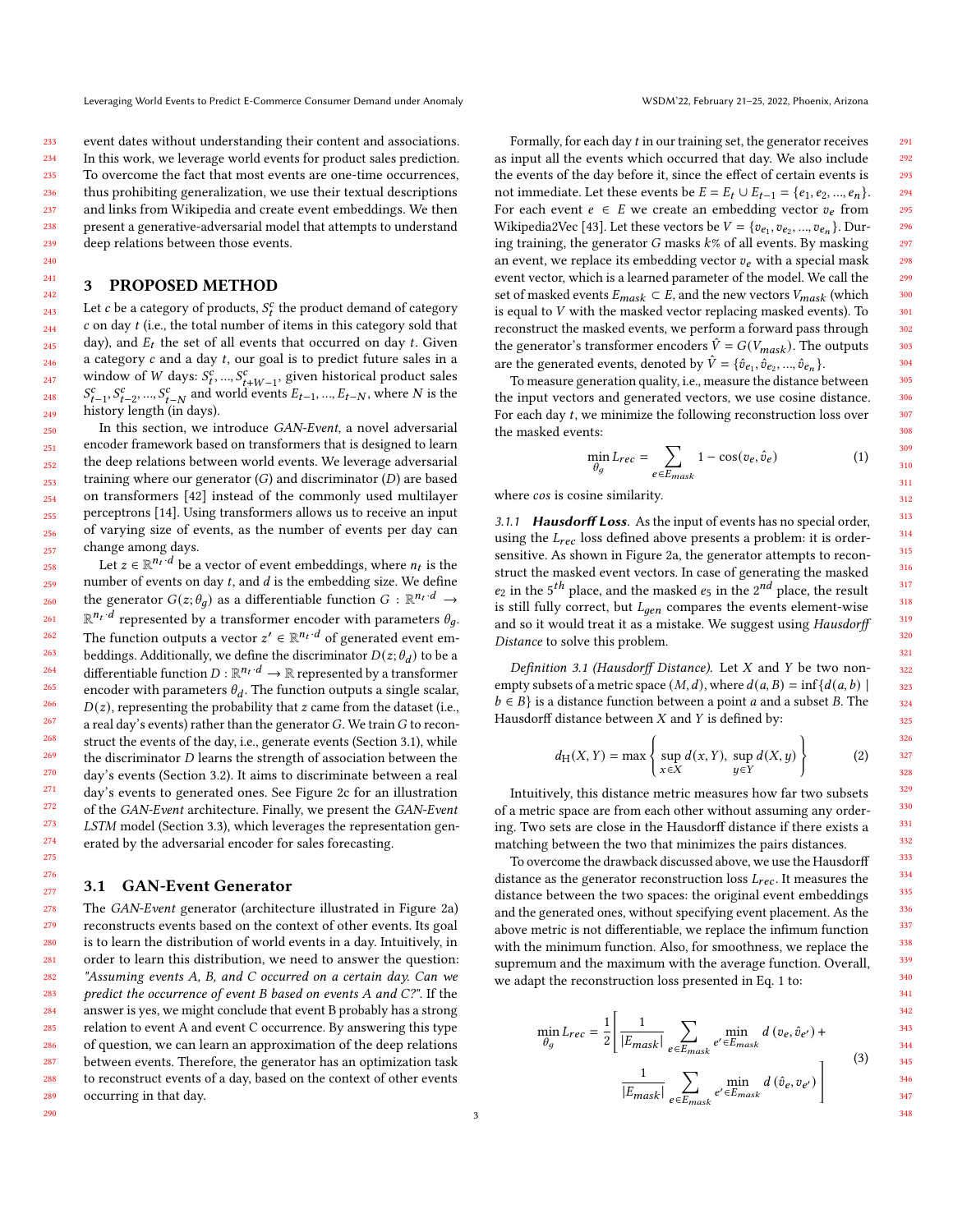event dates without understanding their content and associations. In this work, we leverage world events for product sales prediction. To overcome the fact that most events are one-time occurrences, thus prohibiting generalization, we use their textual descriptions and links from Wikipedia and create event embeddings. We then present a generative-adversarial model that attempts to understand deep relations between those events.

## <span id="page-2-2"></span>3 PROPOSED METHOD

Let  $c$  be a category of products,  $S_t^c$  the product demand of category  $c$  on day  $t$  (i.e., the total number of items in this category sold that day), and  $E_t$  the set of all events that occurred on day  $t$ . Given a category  $c$  and a day  $t$ , our goal is to predict future sales in a window of *W* days:  $S_t^c$ , ...,  $S_{t+W-1}^c$ , given historical product sales  $S_{t-1}^c, S_{t-2}^c, ..., S_{t-N}^c$  and world events  $E_{t-1}, ..., E_{t-N}$ , where N is the history length (in days).

250 251 252 253 254 255 256 257 In this section, we introduce GAN-Event, a novel adversarial encoder framework based on transformers that is designed to learn the deep relations between world events. We leverage adversarial training where our generator  $(G)$  and discriminator  $(D)$  are based on transformers [\[42\]](#page-8-36) instead of the commonly used multilayer perceptrons [\[14\]](#page-8-37). Using transformers allows us to receive an input of varying size of events, as the number of events per day can change among days.

258 259 260 261 262 263 264 265 266 267 268 269 270 271 272 273 274 275 Let  $z \in \mathbb{R}^{n_t \cdot d}$  be a vector of event embeddings, where  $n_t$  is the number of events on day  $t$ , and  $d$  is the embedding size. We define the generator  $G(z; \theta_q)$  as a differentiable function  $G : \mathbb{R}^{n_t \cdot d} \rightarrow$  $\mathbb{R}^{n_t \cdot d}$  represented by a transformer encoder with parameters  $\theta_q$ . The function outputs a vector  $z' \in \mathbb{R}^{n_t \cdot d}$  of generated event embeddings. Additionally, we define the discriminator  $D(z; \theta_d)$  to be a differentiable function  $D : \mathbb{R}^{n_t \cdot d} \to \mathbb{R}$  represented by a transformer encoder with parameters  $\theta_d$ . The function outputs a single scalar,  $D(z)$ , representing the probability that  $z$  came from the dataset (i.e., a real day's events) rather than the generator  $G$ . We train  $G$  to reconstruct the events of the day, i.e., generate events (Section [3.1\)](#page-2-0), while the discriminator  $D$  learns the strength of association between the day's events (Section [3.2\)](#page-3-0). It aims to discriminate between a real day's events to generated ones. See Figure [2c](#page-3-1) for an illustration of the GAN-Event architecture. Finally, we present the GAN-Event LSTM model (Section [3.3\)](#page-3-2), which leverages the representation generated by the adversarial encoder for sales forecasting.

#### <span id="page-2-0"></span>3.1 GAN-Event Generator

276 277

290

278 279 280 281 282 283 284 285 286 287 288 289 The GAN-Event generator (architecture illustrated in Figure [2a\)](#page-3-1) reconstructs events based on the context of other events. Its goal is to learn the distribution of world events in a day. Intuitively, in order to learn this distribution, we need to answer the question: "Assuming events A, B, and C occurred on a certain day. Can we predict the occurrence of event B based on events A and C?". If the answer is yes, we might conclude that event B probably has a strong relation to event A and event C occurrence. By answering this type of question, we can learn an approximation of the deep relations between events. Therefore, the generator has an optimization task to reconstruct events of a day, based on the context of other events occurring in that day.

Formally, for each day  $t$  in our training set, the generator receives as input all the events which occurred that day. We also include the events of the day before it, since the effect of certain events is not immediate. Let these events be  $E = E_t \cup E_{t-1} = \{e_1, e_2, ..., e_n\}.$ For each event  $e \in E$  we create an embedding vector  $v_e$  from Wikipedia2Vec [\[43\]](#page-8-14). Let these vectors be  $V = \{v_{e_1}, v_{e_2}, ..., v_{e_n}\}$ . During training, the generator  $G$  masks  $k$ % of all events. By masking an event, we replace its embedding vector  $v_e$  with a special mask event vector, which is a learned parameter of the model. We call the set of masked events  $E_{mask} \subset E$ , and the new vectors  $V_{mask}$  (which is equal to  $V$  with the masked vector replacing masked events). To reconstruct the masked events, we perform a forward pass through the generator's transformer encoders  $\hat{V} = G(V_{mask})$ . The outputs are the generated events, denoted by  $\hat{V} = \{\hat{v}_{e_1}, \hat{v}_{e_2}, ..., \hat{v}_{e_n}\}.$ 

To measure generation quality, i.e., measure the distance between the input vectors and generated vectors, we use cosine distance. For each day  $t$ , we minimize the following reconstruction loss over the masked events:

<span id="page-2-1"></span>
$$
\min_{\theta_g} L_{rec} = \sum_{e \in E_{mask}} 1 - \cos(v_e, \hat{v}_e)
$$
 (1)

where cos is cosine similarity.

3.1.1 Hausdorff Loss. As the input of events has no special order, using the  $L_{rec}$  loss defined above presents a problem: it is ordersensitive. As shown in Figure [2a,](#page-3-1) the generator attempts to reconstruct the masked event vectors. In case of generating the masked  $e_2$  in the 5<sup>th</sup> place, and the masked  $e_5$  in the 2<sup>nd</sup> place, the result is still fully correct, but  $L_{gen}$  compares the events element-wise and so it would treat it as a mistake. We suggest using Hausdorff Distance to solve this problem.

Definition 3.1 (Hausdorff Distance). Let  $X$  and  $Y$  be two nonempty subsets of a metric space  $(M, d)$ , where  $d(a, B) = \inf \{ d(a, b) \mid$  $b \in B$  is a distance function between a point *a* and a subset *B*. The Hausdorff distance between  $X$  and  $Y$  is defined by:

$$
d_{\mathrm{H}}(X,Y) = \max\left\{\sup_{x \in X} d(x,Y), \sup_{y \in Y} d(X,y)\right\} \tag{2}
$$

Intuitively, this distance metric measures how far two subsets of a metric space are from each other without assuming any ordering. Two sets are close in the Hausdorff distance if there exists a matching between the two that minimizes the pairs distances.

To overcome the drawback discussed above, we use the Hausdorff distance as the generator reconstruction loss  $L_{rec}$ . It measures the distance between the two spaces: the original event embeddings and the generated ones, without specifying event placement. As the above metric is not differentiable, we replace the infimum function with the minimum function. Also, for smoothness, we replace the supremum and the maximum with the average function. Overall, we adapt the reconstruction loss presented in Eq. [1](#page-2-1) to:

<span id="page-2-3"></span>
$$
\min_{\theta_g} L_{rec} = \frac{1}{2} \left[ \frac{1}{|E_{mask}|} \sum_{e \in E_{mask}} \min_{e' \in E_{mask}} d(v_e, \hat{v}_{e'}) + \right]
$$

$$
\sum_{\text{S} \in \mathcal{S}^{\text{max}}} \tag{3}
$$

$$
\frac{1}{|E_{mask}|} \sum_{e \in E_{mask}} \min_{e' \in E_{mask}} d(\hat{v}_e, v_{e'})
$$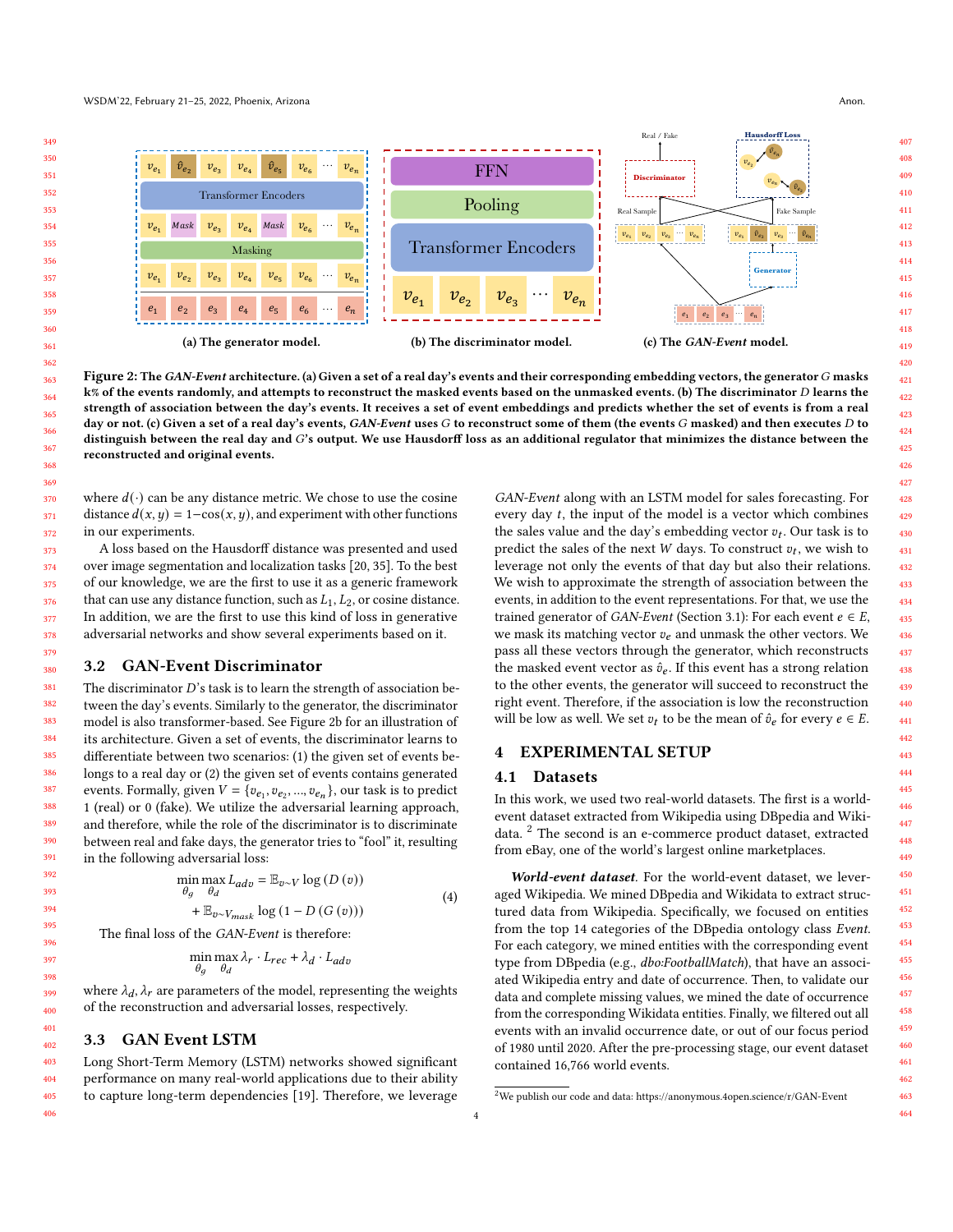$v_{e_2}$   $v_{e_4}$ 

 $v_{e_1}$ 

<span id="page-3-1"></span>

Figure 2: The GAN-Event architecture. (a) Given a set of a real day's events and their corresponding embedding vectors, the generator G masks k% of the events randomly, and attempts to reconstruct the masked events based on the unmasked events. (b) The discriminator D learns the strength of association between the day's events. It receives a set of event embeddings and predicts whether the set of events is from a real day or not. (c) Given a set of a real day's events, GAN-Event uses  $G$  to reconstruct some of them (the events  $G$  masked) and then executes  $D$  to distinguish between the real day and  $G$ 's output. We use Hausdorff loss as an additional regulator that minimizes the distance between the reconstructed and original events.

where  $d(\cdot)$  can be any distance metric. We chose to use the cosine distance  $d(x, y) = 1-\cos(x, y)$ , and experiment with other functions in our experiments.

A loss based on the Hausdorff distance was presented and used over image segmentation and localization tasks [\[20,](#page-8-38) [35\]](#page-8-39). To the best of our knowledge, we are the first to use it as a generic framework that can use any distance function, such as  $L_1, L_2$ , or cosine distance. In addition, we are the first to use this kind of loss in generative adversarial networks and show several experiments based on it.

## <span id="page-3-0"></span>3.2 GAN-Event Discriminator

The discriminator  $D$ 's task is to learn the strength of association between the day's events. Similarly to the generator, the discriminator model is also transformer-based. See Figure [2b](#page-3-1) for an illustration of its architecture. Given a set of events, the discriminator learns to differentiate between two scenarios: (1) the given set of events belongs to a real day or (2) the given set of events contains generated events. Formally, given  $V = \{v_{e_1}, v_{e_2}, ..., v_{e_n}\}$ , our task is to predict 1 (real) or 0 (fake). We utilize the adversarial learning approach, and therefore, while the role of the discriminator is to discriminate between real and fake days, the generator tries to "fool" it, resulting in the following adversarial loss:

$$
\min_{\theta_g} \max_{\theta_d} L_{adv} = \mathbb{E}_{v \sim V} \log (D (v)) \n+ \mathbb{E}_{v \sim V_{mask}} \log (1 - D (G (v)))
$$
\n(4)

The final loss of the GAN-Event is therefore:

$$
\min_{\theta_g} \max_{\theta_d} \lambda_r \cdot L_{rec} + \lambda_d \cdot L_{adv}
$$

where  $\lambda_d$ ,  $\lambda_r$  are parameters of the model, representing the weights of the reconstruction and adversarial losses, respectively.

## <span id="page-3-2"></span>3.3 GAN Event LSTM

Long Short-Term Memory (LSTM) networks showed significant performance on many real-world applications due to their ability to capture long-term dependencies [\[19\]](#page-8-40). Therefore, we leverage

GAN-Event along with an LSTM model for sales forecasting. For every day  $t$ , the input of the model is a vector which combines the sales value and the day's embedding vector  $v_t$ . Our task is to predict the sales of the next  $W$  days. To construct  $v_t$ , we wish to leverage not only the events of that day but also their relations. We wish to approximate the strength of association between the events, in addition to the event representations. For that, we use the trained generator of GAN-Event (Section [3.1\)](#page-2-0): For each event  $e \in E$ , we mask its matching vector  $v_e$  and unmask the other vectors. We pass all these vectors through the generator, which reconstructs the masked event vector as  $\hat{v}_e$ . If this event has a strong relation to the other events, the generator will succeed to reconstruct the right event. Therefore, if the association is low the reconstruction will be low as well. We set  $v_t$  to be the mean of  $\hat{v}_e$  for every  $e \in E$ .

## 4 EXPERIMENTAL SETUP

#### <span id="page-3-4"></span>4.1 Datasets

In this work, we used two real-world datasets. The first is a worldevent dataset extracted from Wikipedia using DBpedia and Wikidata. [2](#page-3-3) The second is an e-commerce product dataset, extracted from eBay, one of the world's largest online marketplaces.

World-event dataset. For the world-event dataset, we leveraged Wikipedia. We mined DBpedia and Wikidata to extract structured data from Wikipedia. Specifically, we focused on entities from the top 14 categories of the DBpedia ontology class Event. For each category, we mined entities with the corresponding event type from DBpedia (e.g., dbo:FootballMatch), that have an associated Wikipedia entry and date of occurrence. Then, to validate our data and complete missing values, we mined the date of occurrence from the corresponding Wikidata entities. Finally, we filtered out all events with an invalid occurrence date, or out of our focus period of 1980 until 2020. After the pre-processing stage, our event dataset contained 16,766 world events.

<span id="page-3-3"></span> $2$ We publish our code and data:<https://anonymous.4open.science/r/GAN-Event>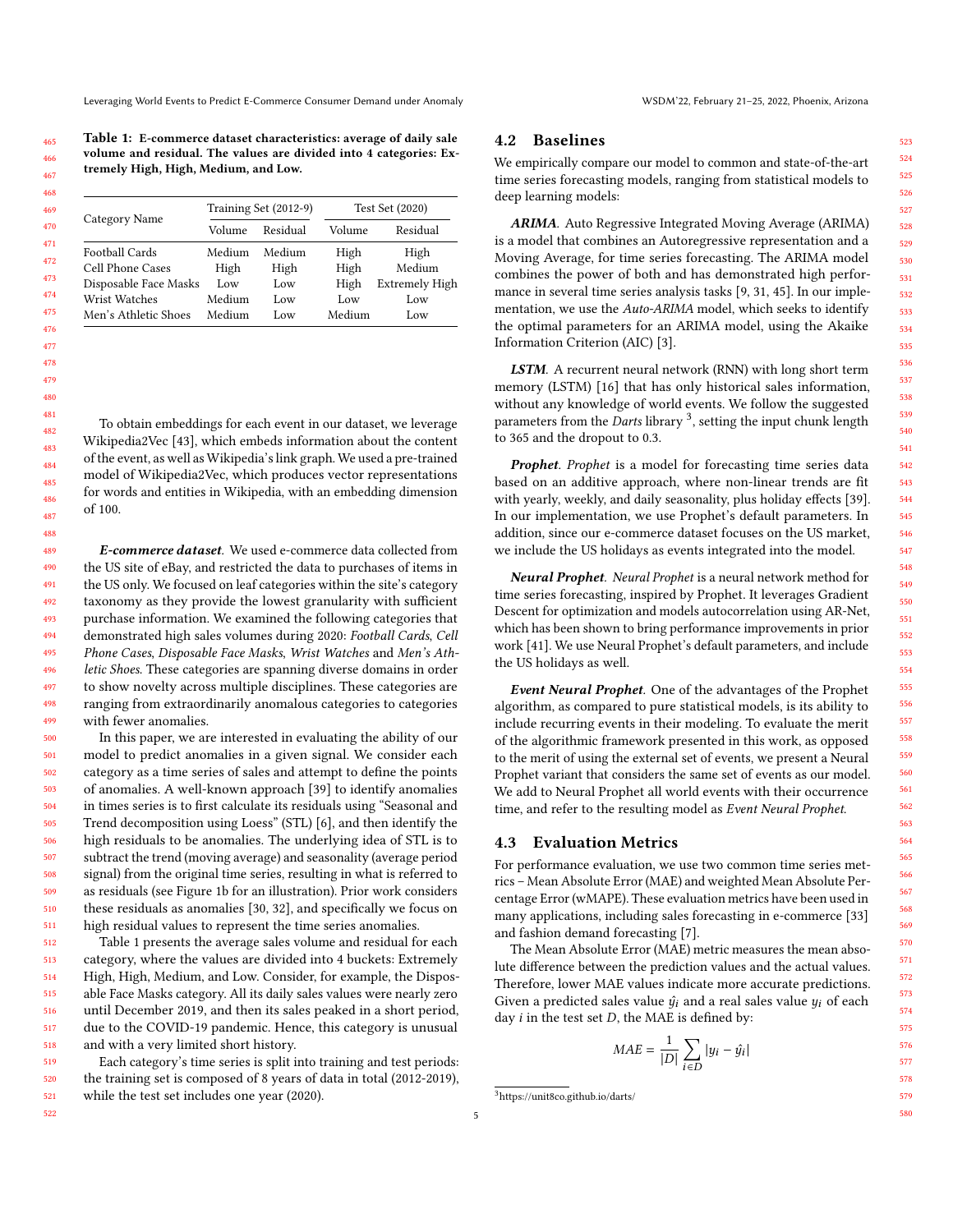Leveraging World Events to Predict E-Commerce Consumer Demand under Anomaly WSDM'22, February 21-25, 2022, Phoenix, Arizona

<span id="page-4-0"></span>Table 1: E-commerce dataset characteristics: average of daily sale volume and residual. The values are divided into 4 categories: Extremely High, High, Medium, and Low.

|                       |        | Training Set (2012-9) |        | Test Set (2020)       |
|-----------------------|--------|-----------------------|--------|-----------------------|
| Category Name         | Volume | Residual              | Volume | Residual              |
| Football Cards        | Medium | Medium                | High   | High                  |
| Cell Phone Cases      | High   | High                  | High   | Medium                |
| Disposable Face Masks | Low    | Low                   | High   | <b>Extremely High</b> |
| Wrist Watches         | Medium | Low                   | Low    | Low                   |
| Men's Athletic Shoes  | Medium | Low                   | Medium | Low                   |

To obtain embeddings for each event in our dataset, we leverage Wikipedia2Vec [\[43\]](#page-8-14), which embeds information about the content of the event, as well as Wikipedia's link graph. We used a pre-trained model of Wikipedia2Vec, which produces vector representations for words and entities in Wikipedia, with an embedding dimension of 100.

E-commerce dataset. We used e-commerce data collected from the US site of eBay, and restricted the data to purchases of items in the US only. We focused on leaf categories within the site's category taxonomy as they provide the lowest granularity with sufficient purchase information. We examined the following categories that demonstrated high sales volumes during 2020: Football Cards, Cell Phone Cases, Disposable Face Masks, Wrist Watches and Men's Athletic Shoes. These categories are spanning diverse domains in order to show novelty across multiple disciplines. These categories are ranging from extraordinarily anomalous categories to categories with fewer anomalies.

500 501 502 503 504 505 506 507 508 509 510 511 In this paper, we are interested in evaluating the ability of our model to predict anomalies in a given signal. We consider each category as a time series of sales and attempt to define the points of anomalies. A well-known approach [\[39\]](#page-8-24) to identify anomalies in times series is to first calculate its residuals using "Seasonal and Trend decomposition using Loess" (STL) [\[6\]](#page-8-41), and then identify the high residuals to be anomalies. The underlying idea of STL is to subtract the trend (moving average) and seasonality (average period signal) from the original time series, resulting in what is referred to as residuals (see Figure [1b](#page-1-0) for an illustration). Prior work considers these residuals as anomalies [\[30,](#page-8-42) [32\]](#page-8-43), and specifically we focus on high residual values to represent the time series anomalies.

512 513 514 515 516 517 518 Table [1](#page-4-0) presents the average sales volume and residual for each category, where the values are divided into 4 buckets: Extremely High, High, Medium, and Low. Consider, for example, the Disposable Face Masks category. All its daily sales values were nearly zero until December 2019, and then its sales peaked in a short period, due to the COVID-19 pandemic. Hence, this category is unusual and with a very limited short history.

519 520 521 Each category's time series is split into training and test periods: the training set is composed of 8 years of data in total (2012-2019), while the test set includes one year (2020).

## <span id="page-4-3"></span>4.2 Baselines

We empirically compare our model to common and state-of-the-art time series forecasting models, ranging from statistical models to deep learning models:

ARIMA. Auto Regressive Integrated Moving Average (ARIMA) is a model that combines an Autoregressive representation and a Moving Average, for time series forecasting. The ARIMA model combines the power of both and has demonstrated high performance in several time series analysis tasks [\[9,](#page-8-3) [31,](#page-8-5) [45\]](#page-8-6). In our implementation, we use the Auto-ARIMA model, which seeks to identify the optimal parameters for an ARIMA model, using the Akaike Information Criterion (AIC) [\[3\]](#page-8-44).

LSTM. A recurrent neural network (RNN) with long short term memory (LSTM) [\[16\]](#page-8-12) that has only historical sales information, without any knowledge of world events. We follow the suggested parameters from the *Darts* library <sup>[3](#page-4-1)</sup>, setting the input chunk length to 365 and the dropout to 0.3.

Prophet. Prophet is a model for forecasting time series data based on an additive approach, where non-linear trends are fit with yearly, weekly, and daily seasonality, plus holiday effects [\[39\]](#page-8-24). In our implementation, we use Prophet's default parameters. In addition, since our e-commerce dataset focuses on the US market, we include the US holidays as events integrated into the model.

Neural Prophet. Neural Prophet is a neural network method for time series forecasting, inspired by Prophet. It leverages Gradient Descent for optimization and models autocorrelation using AR-Net, which has been shown to bring performance improvements in prior work [\[41\]](#page-8-26). We use Neural Prophet's default parameters, and include the US holidays as well.

Event Neural Prophet. One of the advantages of the Prophet algorithm, as compared to pure statistical models, is its ability to include recurring events in their modeling. To evaluate the merit of the algorithmic framework presented in this work, as opposed to the merit of using the external set of events, we present a Neural Prophet variant that considers the same set of events as our model. We add to Neural Prophet all world events with their occurrence time, and refer to the resulting model as Event Neural Prophet.

#### <span id="page-4-2"></span>4.3 Evaluation Metrics

For performance evaluation, we use two common time series metrics – Mean Absolute Error (MAE) and weighted Mean Absolute Percentage Error (wMAPE). These evaluation metrics have been used in many applications, including sales forecasting in e-commerce [\[33\]](#page-8-1) and fashion demand forecasting [\[7\]](#page-8-2).

The Mean Absolute Error (MAE) metric measures the mean absolute difference between the prediction values and the actual values. Therefore, lower MAE values indicate more accurate predictions. Given a predicted sales value  $\hat{y}_i$  and a real sales value  $y_i$  of each day  $i$  in the test set  $D$ , the MAE is defined by:

$$
MAE = \frac{1}{|D|} \sum_{i \in D} |y_i - \hat{y_i}|
$$

522

<span id="page-4-1"></span><sup>3</sup><https://unit8co.github.io/darts/>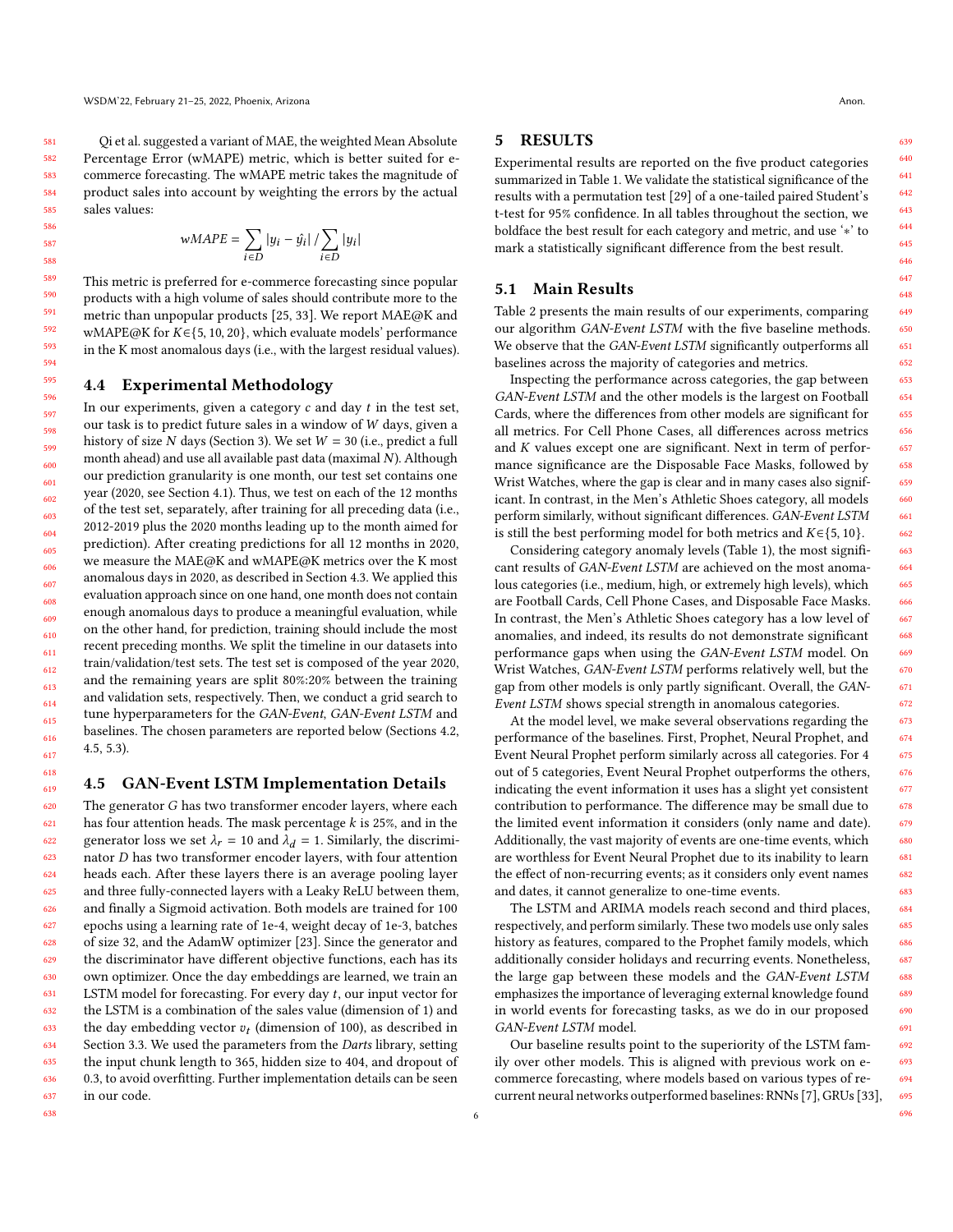[Qi et al.](#page-8-1) suggested a variant of MAE, the weighted Mean Absolute Percentage Error (wMAPE) metric, which is better suited for ecommerce forecasting. The wMAPE metric takes the magnitude of product sales into account by weighting the errors by the actual sales values:

$$
wMAPE = \sum_{i \in D} |y_i - \hat{y_i}| / \sum_{i \in D} |y_i|
$$

This metric is preferred for e-commerce forecasting since popular products with a high volume of sales should contribute more to the metric than unpopular products [\[25,](#page-8-45) [33\]](#page-8-1). We report MAE@K and wMAPE@K for  $K \in \{5, 10, 20\}$ , which evaluate models' performance in the K most anomalous days (i.e., with the largest residual values).

## 4.4 Experimental Methodology

In our experiments, given a category  $c$  and day  $t$  in the test set, our task is to predict future sales in a window of  $W$  days, given a history of size N days (Section [3\)](#page-2-2). We set  $W = 30$  (i.e., predict a full month ahead) and use all available past data (maximal  $N$ ). Although our prediction granularity is one month, our test set contains one year (2020, see Section [4.1\)](#page-3-4). Thus, we test on each of the 12 months of the test set, separately, after training for all preceding data (i.e., 2012-2019 plus the 2020 months leading up to the month aimed for prediction). After creating predictions for all 12 months in 2020, we measure the MAE@K and wMAPE@K metrics over the K most anomalous days in 2020, as described in Section [4.3.](#page-4-2) We applied this evaluation approach since on one hand, one month does not contain enough anomalous days to produce a meaningful evaluation, while on the other hand, for prediction, training should include the most recent preceding months. We split the timeline in our datasets into train/validation/test sets. The test set is composed of the year 2020, and the remaining years are split 80%:20% between the training and validation sets, respectively. Then, we conduct a grid search to tune hyperparameters for the GAN-Event, GAN-Event LSTM and baselines. The chosen parameters are reported below (Sections [4.2,](#page-4-3) [4.5,](#page-5-0) [5.3\)](#page-6-0).

## <span id="page-5-0"></span>4.5 GAN-Event LSTM Implementation Details

620 621 622 623 624 625 626 627 628 629 630 631 632 633 634 635 636 637 The generator  $G$  has two transformer encoder layers, where each has four attention heads. The mask percentage  $k$  is 25%, and in the generator loss we set  $\lambda_r = 10$  and  $\lambda_d = 1$ . Similarly, the discriminator  $D$  has two transformer encoder layers, with four attention heads each. After these layers there is an average pooling layer and three fully-connected layers with a Leaky ReLU between them, and finally a Sigmoid activation. Both models are trained for 100 epochs using a learning rate of 1e-4, weight decay of 1e-3, batches of size 32, and the AdamW optimizer [\[23\]](#page-8-46). Since the generator and the discriminator have different objective functions, each has its own optimizer. Once the day embeddings are learned, we train an LSTM model for forecasting. For every day  $t$ , our input vector for the LSTM is a combination of the sales value (dimension of 1) and the day embedding vector  $v_t$  (dimension of 100), as described in Section [3.3.](#page-3-2) We used the parameters from the Darts library, setting the input chunk length to 365, hidden size to 404, and dropout of 0.3, to avoid overfitting. Further implementation details can be seen in our code.

#### 5 RESULTS

Experimental results are reported on the five product categories summarized in Table [1.](#page-4-0) We validate the statistical significance of the results with a permutation test [\[29\]](#page-8-47) of a one-tailed paired Student's t-test for 95% confidence. In all tables throughout the section, we boldface the best result for each category and metric, and use '∗' to mark a statistically significant difference from the best result.

#### 5.1 Main Results

Table [2](#page-6-1) presents the main results of our experiments, comparing our algorithm GAN-Event LSTM with the five baseline methods. We observe that the GAN-Event LSTM significantly outperforms all baselines across the majority of categories and metrics.

Inspecting the performance across categories, the gap between GAN-Event LSTM and the other models is the largest on Football Cards, where the differences from other models are significant for all metrics. For Cell Phone Cases, all differences across metrics and  $K$  values except one are significant. Next in term of performance significance are the Disposable Face Masks, followed by Wrist Watches, where the gap is clear and in many cases also significant. In contrast, in the Men's Athletic Shoes category, all models perform similarly, without significant differences. GAN-Event LSTM is still the best performing model for both metrics and  $K \in \{5, 10\}$ .

Considering category anomaly levels (Table [1\)](#page-4-0), the most significant results of GAN-Event LSTM are achieved on the most anomalous categories (i.e., medium, high, or extremely high levels), which are Football Cards, Cell Phone Cases, and Disposable Face Masks. In contrast, the Men's Athletic Shoes category has a low level of anomalies, and indeed, its results do not demonstrate significant performance gaps when using the GAN-Event LSTM model. On Wrist Watches, GAN-Event LSTM performs relatively well, but the gap from other models is only partly significant. Overall, the GAN-Event LSTM shows special strength in anomalous categories.

At the model level, we make several observations regarding the performance of the baselines. First, Prophet, Neural Prophet, and Event Neural Prophet perform similarly across all categories. For 4 out of 5 categories, Event Neural Prophet outperforms the others, indicating the event information it uses has a slight yet consistent contribution to performance. The difference may be small due to the limited event information it considers (only name and date). Additionally, the vast majority of events are one-time events, which are worthless for Event Neural Prophet due to its inability to learn the effect of non-recurring events; as it considers only event names and dates, it cannot generalize to one-time events.

The LSTM and ARIMA models reach second and third places, respectively, and perform similarly. These two models use only sales history as features, compared to the Prophet family models, which additionally consider holidays and recurring events. Nonetheless, the large gap between these models and the GAN-Event LSTM emphasizes the importance of leveraging external knowledge found in world events for forecasting tasks, as we do in our proposed GAN-Event LSTM model.

Our baseline results point to the superiority of the LSTM family over other models. This is aligned with previous work on ecommerce forecasting, where models based on various types of recurrent neural networks outperformed baselines: RNNs [\[7\]](#page-8-2), GRUs [\[33\]](#page-8-1),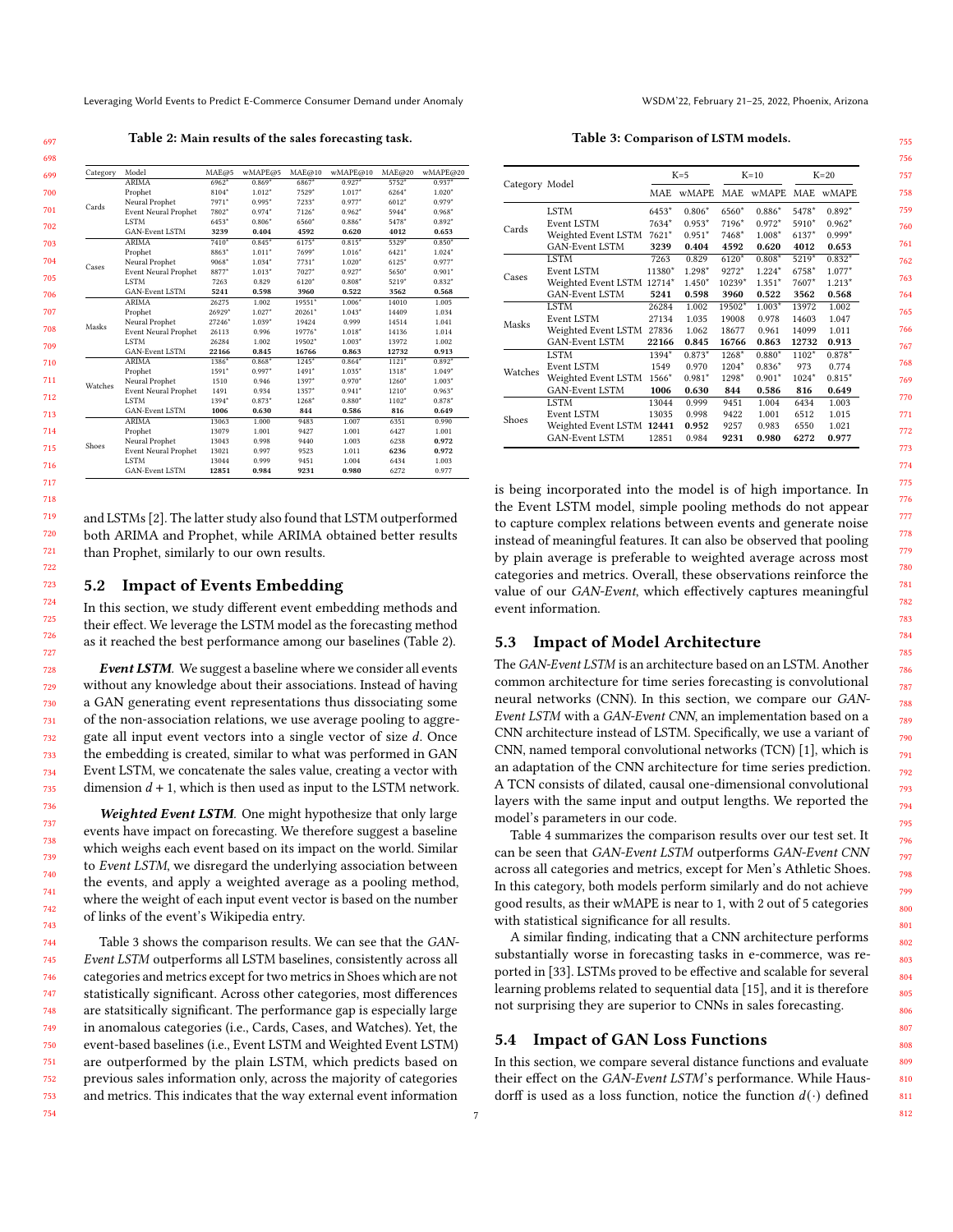<span id="page-6-1"></span>Leveraging World Events to Predict E-Commerce Consumer Demand under Anomaly WSDM'22, February 21-25, 2022, Phoenix, Arizona

Table 2: Main results of the sales forecasting task.

| Category       | Model                       | MAE@5    | wMAPE@5  | MAE@10   | wMAPE@10 | MAE@20  | wMAPE@20 |
|----------------|-----------------------------|----------|----------|----------|----------|---------|----------|
|                | <b>ARIMA</b>                | $6962*$  | $0.869*$ | 6867*    | $0.927*$ | $5752*$ | $0.937*$ |
|                | Prophet                     | 8104*    | $1.012*$ | 7529*    | $1.017*$ | $6264*$ | $1.020*$ |
| Cards          | Neural Prophet              | 7971*    | $0.995*$ | $7233*$  | $0.977*$ | $6012*$ | $0.979*$ |
|                | <b>Event Neural Prophet</b> | 7802*    | $0.974*$ | $7126*$  | $0.962*$ | 5944*   | $0.968*$ |
|                | <b>LSTM</b>                 | 6453*    | $0.806*$ | 6560*    | $0.886*$ | 5478*   | $0.892*$ |
|                | GAN-Event LSTM              | 3239     | 0.404    | 4592     | 0.620    | 4012    | 0.653    |
|                | <b>ARIMA</b>                | $7410*$  | $0.845*$ | $6175*$  | $0.815*$ | $5329*$ | $0.850*$ |
|                | Prophet                     | 8863*    | $1.011*$ | 7699*    | $1.016*$ | $6421*$ | $1.024*$ |
| Cases<br>Masks | Neural Prophet              | 9068*    | $1.034*$ | $7731*$  | $1.020*$ | $6125*$ | $0.977*$ |
|                | <b>Event Neural Prophet</b> | 8877*    | $1.013*$ | $7027*$  | $0.927*$ | 5650*   | $0.901*$ |
|                | <b>LSTM</b>                 | 7263     | 0.829    | $6120*$  | $0.808*$ | 5219*   | $0.832*$ |
|                | GAN-Event LSTM              | 5241     | 0.598    | 3960     | 0.522    | 3562    | 0.568    |
|                | <b>ARIMA</b>                | 26275    | 1.002    | 19551*   | $1.006*$ | 14010   | 1.005    |
|                | Prophet                     | 26929*   | $1.027*$ | $20261*$ | $1.043*$ | 14409   | 1.034    |
|                | Neural Prophet              | $27246*$ | $1.039*$ | 19424    | 0.999    | 14514   | 1.041    |
|                | <b>Event Neural Prophet</b> | 26113    | 0.996    | $19776*$ | $1.018*$ | 14136   | 1.014    |
|                | <b>LSTM</b>                 | 26284    | 1.002    | 19502*   | $1.003*$ | 13972   | 1.002    |
|                | GAN-Event LSTM              | 22166    | 0.845    | 16766    | 0.863    | 12732   | 0.913    |
|                | <b>ARIMA</b>                | 1386*    | $0.868*$ | $1245*$  | $0.864*$ | $1121*$ | $0.892*$ |
|                | Prophet                     | 1591*    | $0.997*$ | $1491*$  | $1.035*$ | $1318*$ | $1.049*$ |
|                | Neural Prophet              | 1510     | 0.946    | $1397*$  | $0.970*$ | $1260*$ | $1.003*$ |
|                | <b>Event Neural Prophet</b> | 1491     | 0.934    | $1357*$  | $0.941*$ | $1210*$ | $0.963*$ |
|                | <b>LSTM</b>                 | $1394*$  | $0.873*$ | $1268*$  | $0.880*$ | $1102*$ | $0.878*$ |
|                | <b>GAN-Event LSTM</b>       | 1006     | 0.630    | 844      | 0.586    | 816     | 0.649    |
|                | <b>ARIMA</b>                | 13063    | 1.000    | 9483     | 1.007    | 6351    | 0.990    |
| Watches        | Prophet                     | 13079    | 1.001    | 9427     | 1.001    | 6427    | 1.001    |
| Shoes          | Neural Prophet              | 13043    | 0.998    | 9440     | 1.003    | 6238    | 0.972    |
|                | <b>Event Neural Prophet</b> | 13021    | 0.997    | 9523     | 1.011    | 6236    | 0.972    |
|                | <b>LSTM</b>                 | 13044    | 0.999    | 9451     | 1.004    | 6434    | 1.003    |
|                | <b>GAN-Event LSTM</b>       | 12851    | 0.984    | 9231     | 0.980    | 6272    | 0.977    |

and LSTMs [\[2\]](#page-8-16). The latter study also found that LSTM outperformed both ARIMA and Prophet, while ARIMA obtained better results than Prophet, similarly to our own results.

## 5.2 Impact of Events Embedding

In this section, we study different event embedding methods and their effect. We leverage the LSTM model as the forecasting method as it reached the best performance among our baselines (Table [2\)](#page-6-1).

Event LSTM. We suggest a baseline where we consider all events without any knowledge about their associations. Instead of having a GAN generating event representations thus dissociating some of the non-association relations, we use average pooling to aggregate all input event vectors into a single vector of size  $d$ . Once the embedding is created, similar to what was performed in GAN Event LSTM, we concatenate the sales value, creating a vector with dimension  $d + 1$ , which is then used as input to the LSTM network.

Weighted Event LSTM. One might hypothesize that only large events have impact on forecasting. We therefore suggest a baseline which weighs each event based on its impact on the world. Similar to Event LSTM, we disregard the underlying association between the events, and apply a weighted average as a pooling method, where the weight of each input event vector is based on the number of links of the event's Wikipedia entry.

Table [3](#page-6-2) shows the comparison results. We can see that the GAN-Event LSTM outperforms all LSTM baselines, consistently across all categories and metrics except for two metrics in Shoes which are not statistically significant. Across other categories, most differences are statsitically significant. The performance gap is especially large in anomalous categories (i.e., Cards, Cases, and Watches). Yet, the event-based baselines (i.e., Event LSTM and Weighted Event LSTM) are outperformed by the plain LSTM, which predicts based on previous sales information only, across the majority of categories and metrics. This indicates that the way external event information

Table 3: Comparison of LSTM models.

<span id="page-6-2"></span>

|                |                            |         | $K=5$<br>$K=10$ |         |          | $K=20$  |              |  |
|----------------|----------------------------|---------|-----------------|---------|----------|---------|--------------|--|
| Category Model |                            | MAE.    | <b>wMAPE</b>    | MAE.    | wMAPE.   | MAE     | <b>wMAPE</b> |  |
|                | <b>LSTM</b>                | 6453*   | $0.806*$        | 6560*   | $0.886*$ | 5478*   | $0.892*$     |  |
|                | Event LSTM                 | 7634*   | $0.953*$        | 7196*   | $0.972*$ | 5910*   | $0.962*$     |  |
| Cards          | Weighted Event LSTM        | $7621*$ | $0.951*$        | 7468*   | $1.008*$ | $6137*$ | $0.999*$     |  |
|                | <b>GAN-Event LSTM</b>      | 3239    | 0.404           | 4592    | 0.620    | 4012    | 0.653        |  |
|                | <b>LSTM</b>                | 7263    | 0.829           | $6120*$ | $0.808*$ | $5219*$ | $0.832*$     |  |
|                | Event LSTM                 | 11380*  | 1.298*          | $9272*$ | $1.224*$ | 6758*   | $1.077*$     |  |
| Cases          | Weighted Event LSTM 12714* |         | $1.450*$        | 10239*  | $1.351*$ | 7607*   | $1.213*$     |  |
|                | <b>GAN-Event LSTM</b>      | 5241    | 0.598           | 3960    | 0.522    | 3562    | 0.568        |  |
|                | <b>LSTM</b>                | 26284   | 1.002           | 19502*  | $1.003*$ | 13972   | 1.002        |  |
| Masks          | Event LSTM                 | 27134   | 1.035           | 19008   | 0.978    | 14603   | 1.047        |  |
|                | Weighted Event LSTM        | 27836   | 1.062           | 18677   | 0.961    | 14099   | 1.011        |  |
|                | <b>GAN-Event LSTM</b>      | 22166   | 0.845           | 16766   | 0.863    | 12732   | 0.913        |  |
|                | <b>LSTM</b>                | 1394*   | 0.873*          | 1268*   | $0.880*$ | 1102*   | $0.878*$     |  |
| Watches        | Event LSTM                 | 1549    | 0.970           | 1204*   | $0.836*$ | 973     | 0.774        |  |
|                | Weighted Event LSTM        | 1566*   | $0.981*$        | 1298*   | $0.901*$ | 1024*   | $0.815*$     |  |
|                | <b>GAN-Event LSTM</b>      | 1006    | 0.630           | 844     | 0.586    | 816     | 0.649        |  |
|                | <b>LSTM</b>                | 13044   | 0.999           | 9451    | 1.004    | 6434    | 1.003        |  |
| Shoes          | Event LSTM                 | 13035   | 0.998           | 9422    | 1.001    | 6512    | 1.015        |  |
|                | Weighted Event LSTM        | 12441   | 0.952           | 9257    | 0.983    | 6550    | 1.021        |  |
|                | <b>GAN-Event LSTM</b>      | 12851   | 0.984           | 9231    | 0.980    | 6272    | 0.977        |  |

is being incorporated into the model is of high importance. In the Event LSTM model, simple pooling methods do not appear to capture complex relations between events and generate noise instead of meaningful features. It can also be observed that pooling by plain average is preferable to weighted average across most categories and metrics. Overall, these observations reinforce the value of our GAN-Event, which effectively captures meaningful event information.

## <span id="page-6-0"></span>5.3 Impact of Model Architecture

The GAN-Event LSTM is an architecture based on an LSTM. Another common architecture for time series forecasting is convolutional neural networks (CNN). In this section, we compare our GAN-Event LSTM with a GAN-Event CNN, an implementation based on a CNN architecture instead of LSTM. Specifically, we use a variant of CNN, named temporal convolutional networks (TCN) [\[1\]](#page-8-48), which is an adaptation of the CNN architecture for time series prediction. A TCN consists of dilated, causal one-dimensional convolutional layers with the same input and output lengths. We reported the model's parameters in our code.

Table [4](#page-7-0) summarizes the comparison results over our test set. It can be seen that GAN-Event LSTM outperforms GAN-Event CNN across all categories and metrics, except for Men's Athletic Shoes. In this category, both models perform similarly and do not achieve good results, as their wMAPE is near to 1, with 2 out of 5 categories with statistical significance for all results.

A similar finding, indicating that a CNN architecture performs substantially worse in forecasting tasks in e-commerce, was reported in [\[33\]](#page-8-1). LSTMs proved to be effective and scalable for several learning problems related to sequential data [\[15\]](#page-8-49), and it is therefore not surprising they are superior to CNNs in sales forecasting.

#### 5.4 Impact of GAN Loss Functions

In this section, we compare several distance functions and evaluate their effect on the GAN-Event LSTM's performance. While Hausdorff is used as a loss function, notice the function  $d(\cdot)$  defined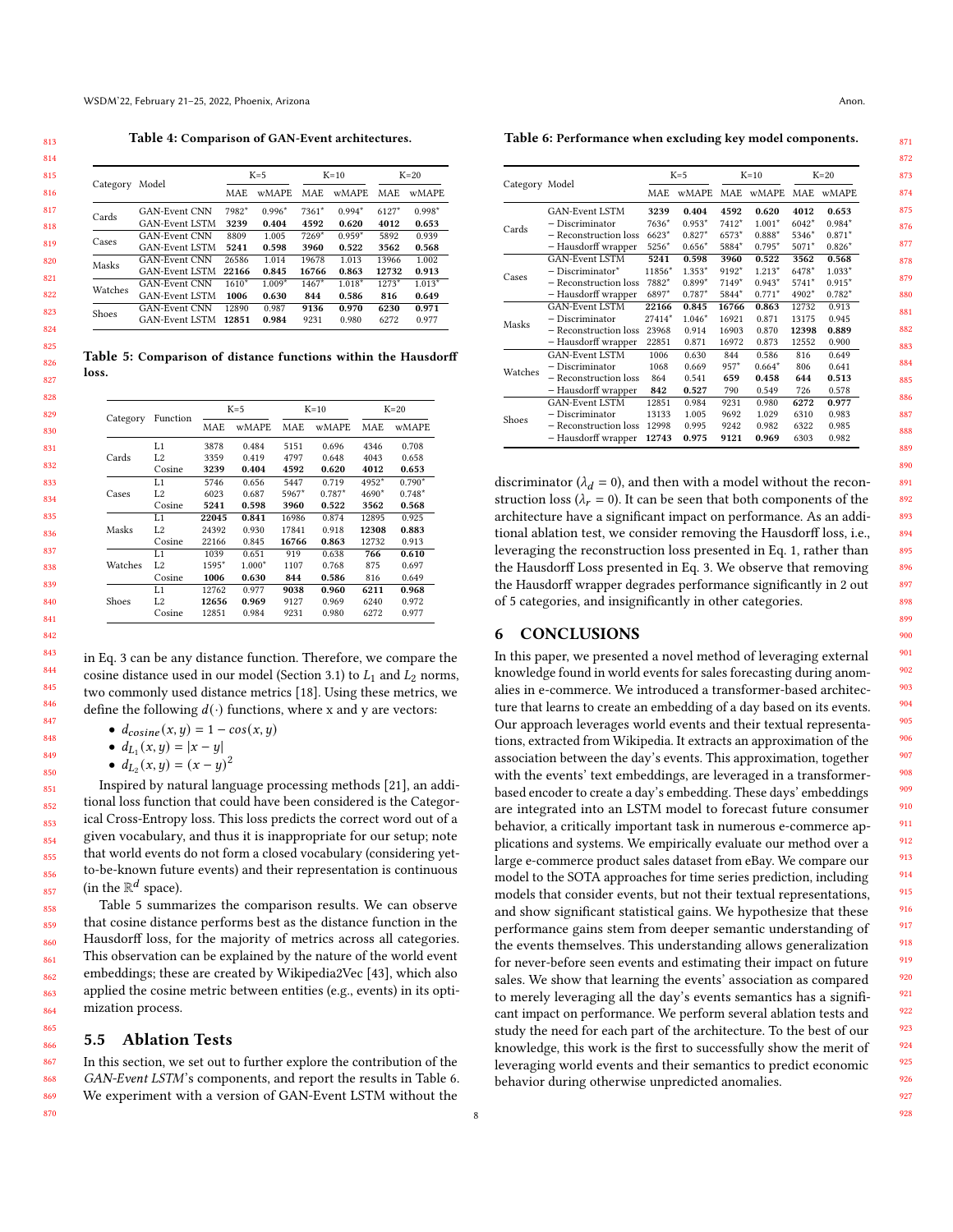Table 4: Comparison of GAN-Event architectures.

<span id="page-7-0"></span>

|          |                       | $K=5$      |              | $K=10$     |              | $K=20$     |              |
|----------|-----------------------|------------|--------------|------------|--------------|------------|--------------|
| Category | Model                 | <b>MAE</b> | <b>wMAPE</b> | <b>MAE</b> | <b>wMAPE</b> | <b>MAE</b> | <b>wMAPE</b> |
|          | <b>GAN-Event CNN</b>  | 7982*      | $0.996*$     | $7361*$    | $0.994*$     | $6127*$    | $0.998*$     |
| Cards    | <b>GAN-Event LSTM</b> | 3239       | 0.404        | 4592       | 0.620        | 4012       | 0.653        |
| Cases    | GAN-Event CNN         | 8809       | 1.005        | $7269*$    | $0.959*$     | 5892       | 0.939        |
|          | <b>GAN-Event LSTM</b> | 5241       | 0.598        | 3960       | 0.522        | 3562       | 0.568        |
| Masks    | <b>GAN-Event CNN</b>  | 26586      | 1.014        | 19678      | 1.013        | 13966      | 1.002        |
|          | GAN-Event LSTM        | 22166      | 0.845        | 16766      | 0.863        | 12732      | 0.913        |
| Watches  | GAN-Event CNN         | $1610*$    | $1.009*$     | $1467*$    | $1.018*$     | $1273*$    | $1.013*$     |
|          | <b>GAN-Event LSTM</b> | 1006       | 0.630        | 844        | 0.586        | 816        | 0.649        |
| Shoes    | <b>GAN-Event CNN</b>  | 12890      | 0.987        | 9136       | 0.970        | 6230       | 0.971        |
|          | <b>GAN-Event LSTM</b> | 12851      | 0.984        | 9231       | 0.980        | 6272       | 0.977        |

<span id="page-7-1"></span>Table 5: Comparison of distance functions within the Hausdorff loss.

|          |                |       | $K=5$        |            | $K=10$       | $K=20$     |              |
|----------|----------------|-------|--------------|------------|--------------|------------|--------------|
| Category | Function       | MAE.  | <b>wMAPE</b> | <b>MAE</b> | <b>wMAPE</b> | <b>MAE</b> | <b>wMAPE</b> |
|          | L1             | 3878  | 0.484        | 5151       | 0.696        | 4346       | 0.708        |
| Cards    | L <sub>2</sub> | 3359  | 0.419        | 4797       | 0.648        | 4043       | 0.658        |
|          | Cosine         | 3239  | 0.404        | 4592       | 0.620        | 4012       | 0.653        |
|          | L1             | 5746  | 0.656        | 5447       | 0.719        | 4952*      | $0.790*$     |
| Cases    | L <sub>2</sub> | 6023  | 0.687        | 5967*      | $0.787*$     | 4690*      | $0.748*$     |
|          | Cosine         | 5241  | 0.598        | 3960       | 0.522        | 3562       | 0.568        |
|          | L1             | 22045 | 0.841        | 16986      | 0.874        | 12895      | 0.925        |
| Masks    | L <sub>2</sub> | 24392 | 0.930        | 17841      | 0.918        | 12308      | 0.883        |
|          | Cosine         | 22166 | 0.845        | 16766      | 0.863        | 12732      | 0.913        |
|          | L1             | 1039  | 0.651        | 919        | 0.638        | 766        | 0.610        |
| Watches  | L <sub>2</sub> | 1595* | $1.000*$     | 1107       | 0.768        | 875        | 0.697        |
|          | Cosine         | 1006  | 0.630        | 844        | 0.586        | 816        | 0.649        |
|          | L1             | 12762 | 0.977        | 9038       | 0.960        | 6211       | 0.968        |
| Shoes    | L <sub>2</sub> | 12656 | 0.969        | 9127       | 0.969        | 6240       | 0.972        |
|          | Cosine         | 12851 | 0.984        | 9231       | 0.980        | 6272       | 0.977        |

in Eq. [3](#page-2-3) can be any distance function. Therefore, we compare the cosine distance used in our model (Section [3.1\)](#page-2-0) to  $L_1$  and  $L_2$  norms, two commonly used distance metrics [\[18\]](#page-8-50). Using these metrics, we define the following  $d(\cdot)$  functions, where x and y are vectors:

- $d_{cosine}(x, y) = 1 cos(x, y)$
- $d_{L_1}(x, y) = |x y|$
- $d_{L_2}(x, y) = (x y)^2$

Inspired by natural language processing methods [\[21\]](#page-8-51), an additional loss function that could have been considered is the Categorical Cross-Entropy loss. This loss predicts the correct word out of a given vocabulary, and thus it is inappropriate for our setup; note that world events do not form a closed vocabulary (considering yetto-be-known future events) and their representation is continuous (in the  $\mathbb{R}^d$  space).

Table [5](#page-7-1) summarizes the comparison results. We can observe that cosine distance performs best as the distance function in the Hausdorff loss, for the majority of metrics across all categories. This observation can be explained by the nature of the world event embeddings; these are created by Wikipedia2Vec [\[43\]](#page-8-14), which also applied the cosine metric between entities (e.g., events) in its optimization process.

#### 5.5 Ablation Tests

In this section, we set out to further explore the contribution of the GAN-Event LSTM's components, and report the results in Table [6.](#page-7-2) We experiment with a version of GAN-Event LSTM without the

<span id="page-7-2"></span>Table 6: Performance when excluding key model components.

|                |                       |        | $K=5$        | $K=10$  |           | $K=20$                                                            |              |
|----------------|-----------------------|--------|--------------|---------|-----------|-------------------------------------------------------------------|--------------|
| Category Model |                       | MAE.   | <b>wMAPE</b> |         | MAE wMAPE | MAE                                                               | <b>wMAPE</b> |
|                | <b>GAN-Event LSTM</b> | 3239   | 0.404        | 4592    | 0.620     | 4012                                                              | 0.653        |
| Cards          | - Discriminator       | 7636*  | $0.953*$     | $7412*$ | $1.001*$  | $6042*$                                                           | $0.984*$     |
|                | - Reconstruction loss | 6623*  | $0.827*$     | 6573*   | $0.888*$  | 5346*                                                             | $0.871*$     |
|                | - Hausdorff wrapper   | 5256*  | $0.656*$     | 5884*   | $0.795*$  | 5071*                                                             | $0.826*$     |
|                | <b>GAN-Event LSTM</b> | 5241   | 0.598        | 3960    | 0.522     | 3562                                                              | 0.568        |
| Cases          | $-$ Discriminator $*$ | 11856* | $1.353*$     | 9192*   | $1.213*$  | 6478*                                                             | $1.033*$     |
|                | - Reconstruction loss | 7882*  | $0.899*$     | $7149*$ | $0.943*$  | 5741*                                                             | $0.915*$     |
|                | - Hausdorff wrapper   | 6897*  | $0.787*$     | 5844*   | $0.771*$  | 4902*                                                             | $0.782*$     |
|                | <b>GAN-Event LSTM</b> | 22166  | 0.845        | 16766   | 0.863     | 12732                                                             | 0.913        |
| Masks          | - Discriminator       | 27414* | $1.046*$     | 16921   | 0.871     | 13175                                                             | 0.945        |
|                | - Reconstruction loss | 23968  | 0.914        | 16903   | 0.870     | 12398                                                             | 0.889        |
|                | - Hausdorff wrapper   | 22851  | 0.871        | 16972   | 0.873     | 12552<br>816<br>806<br>644<br>726<br>6272<br>6310<br>6322<br>6303 | 0.900        |
|                | <b>GAN-Event LSTM</b> | 1006   | 0.630        | 844     | 0.586     |                                                                   | 0.649        |
| Watches        | - Discriminator       | 1068   | 0.669        | $957*$  | $0.664*$  |                                                                   | 0.641        |
|                | - Reconstruction loss | 864    | 0.541        | 659     | 0.458     |                                                                   | 0.513        |
|                | - Hausdorff wrapper   | 842    | 0.527        | 790     | 0.549     |                                                                   | 0.578        |
|                | <b>GAN-Event LSTM</b> | 12851  | 0.984        | 9231    | 0.980     |                                                                   | 0.977        |
|                | - Discriminator       | 13133  | 1.005        | 9692    | 1.029     |                                                                   | 0.983        |
| Shoes          | - Reconstruction loss | 12998  | 0.995        | 9242    | 0.982     |                                                                   | 0.985        |
|                | - Hausdorff wrapper   | 12743  | 0.975        | 9121    | 0.969     |                                                                   | 0.982        |

discriminator ( $\lambda_d = 0$ ), and then with a model without the reconstruction loss ( $\lambda_r = 0$ ). It can be seen that both components of the architecture have a significant impact on performance. As an additional ablation test, we consider removing the Hausdorff loss, i.e., leveraging the reconstruction loss presented in Eq. [1,](#page-2-1) rather than the Hausdorff Loss presented in Eq. [3.](#page-2-3) We observe that removing the Hausdorff wrapper degrades performance significantly in 2 out of 5 categories, and insignificantly in other categories.

#### 6 CONCLUSIONS

In this paper, we presented a novel method of leveraging external knowledge found in world events for sales forecasting during anomalies in e-commerce. We introduced a transformer-based architecture that learns to create an embedding of a day based on its events. Our approach leverages world events and their textual representations, extracted from Wikipedia. It extracts an approximation of the association between the day's events. This approximation, together with the events' text embeddings, are leveraged in a transformerbased encoder to create a day's embedding. These days' embeddings are integrated into an LSTM model to forecast future consumer behavior, a critically important task in numerous e-commerce applications and systems. We empirically evaluate our method over a large e-commerce product sales dataset from eBay. We compare our model to the SOTA approaches for time series prediction, including models that consider events, but not their textual representations, and show significant statistical gains. We hypothesize that these performance gains stem from deeper semantic understanding of the events themselves. This understanding allows generalization for never-before seen events and estimating their impact on future sales. We show that learning the events' association as compared to merely leveraging all the day's events semantics has a significant impact on performance. We perform several ablation tests and study the need for each part of the architecture. To the best of our knowledge, this work is the first to successfully show the merit of leveraging world events and their semantics to predict economic behavior during otherwise unpredicted anomalies.